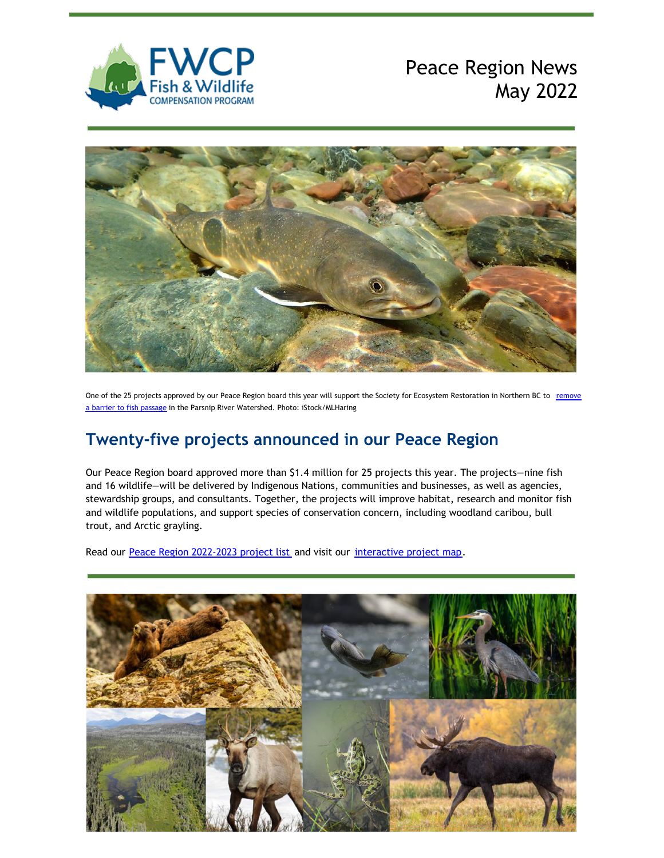

# Peace Region News May 2022



One of the 25 projects approved by our Peace Region board this year will support the Society for Ecosystem Restoration in Northern BC to remove a barrier to fish passage in the Parsnip River Watershed. Photo: [iStock/MLHaring](https://fwcp.ca/project/improving-fish-passage-in-our-peace-region/)

### **Twenty-five projects announced in our Peace Region**

Our Peace Region board approved more than \$1.4 million for 25 projects this year. The projects—nine fish and 16 wildlife—will be delivered by Indigenous Nations, communities and businesses, as well as agencies, stewardship groups, and consultants. Together, the projects will improve habitat, research and monitor fish and wildlife populations, and support species of conservation concern, including woodland caribou, bull trout, and Arctic grayling.

Read our Peace Region [2022-2023](https://fwcp.ca/projectlists/) project list and visit our [interactive](https://fwcp.ca/region/peace-region/) project map.

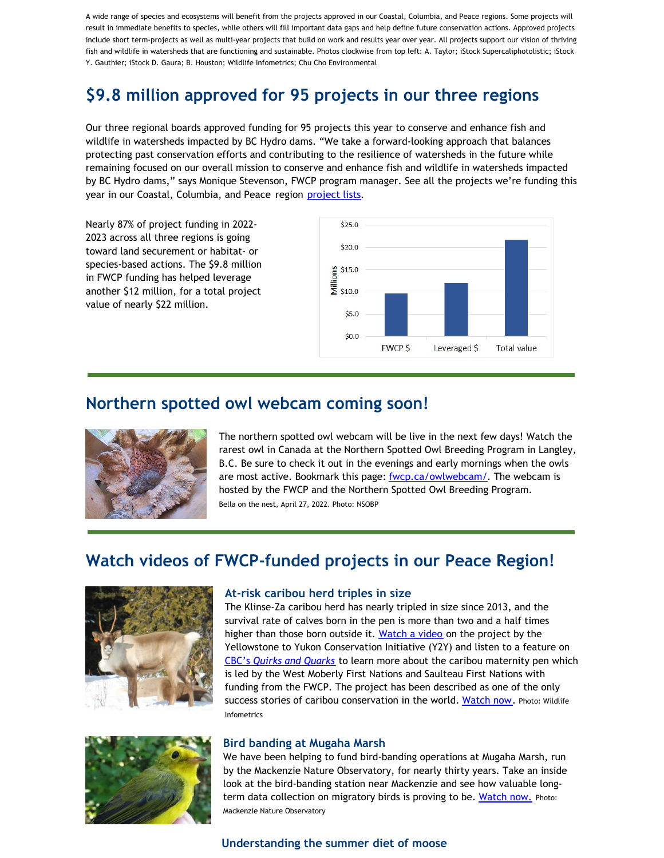A wide range of species and ecosystems will benefit from the projects approved in our Coastal, Columbia, and Peace regions. Some projects will result in immediate benefits to species, while others will fill important data gaps and help define future conservation actions. Approved projects include short term-projects as well as multi-year projects that build on work and results year over year. All projects support our vision of thriving fish and wildlife in watersheds that are functioning and sustainable. Photos clockwise from top left: A. Taylor; iStock Supercaliphotolistic; iStock Y. Gauthier; iStock D. Gaura; B. Houston; Wildlife Infometrics; Chu Cho Environmental

## **\$9.8 million approved for 95 projects in our three regions**

Our three regional boards approved funding for 95 projects this year to conserve and enhance fish and wildlife in watersheds impacted by BC Hydro dams. "We take a forward-looking approach that balances protecting past conservation efforts and contributing to the resilience of watersheds in the future while remaining focused on our overall mission to conserve and enhance fish and wildlife in watersheds impacted by BC Hydro dams," says Monique Stevenson, FWCP program manager. See all the projects we're funding this year in our Coastal, Columbia, and Peace region [project lists](https://fwcp.ca/projectlists/).

Nearly 87% of project funding in 2022- 2023 across all three regions is going toward land securement or habitat- or species-based actions. The \$9.8 million in FWCP funding has helped leverage another \$12 million, for a total project value of nearly \$22 million.



### **Northern spotted owl webcam coming soon!**



The northern spotted owl webcam will be live in the next few days! Watch the rarest owl in Canada at the Northern Spotted Owl Breeding Program in Langley, B.C. Be sure to check it out in the evenings and early mornings when the owls are most active. Bookmark this page: [fwcp.ca/owlwebcam/](https://fwcp.ca/owlwebcam/). The webcam is hosted by the FWCP and the Northern Spotted Owl Breeding Program. Bella on the nest, April 27, 2022. Photo: NSOBP

### **Watch videos of FWCP-funded projects in our Peace Region!**



#### **At-risk caribou herd triples in size**

The Klinse-Za caribou herd has nearly tripled in size since 2013, and the survival rate of calves born in the pen is more than two and a half times higher than those born outside it. [Watch a video](https://y2y.net/blog/back-from-brink-caribou/) on the project by the Yellowstone to Yukon Conservation Initiative (Y2Y) and listen to a feature on [CBC's](https://www.cbc.ca/listen/live-radio/1-51-quirks-and-quarks/clip/15905732-indigenous-led-conservation-program-saves-caribou-herd-extinction) *[Quirks and Quarks](https://www.cbc.ca/listen/live-radio/1-51-quirks-and-quarks/clip/15905732-indigenous-led-conservation-program-saves-caribou-herd-extinction)* to learn more about the caribou maternity pen which is led by the West Moberly First Nations and Saulteau First Nations with funding from the FWCP. The project has been described as one of the only success stories of caribou conservation in the world. [Watch now](https://y2y.net/blog/back-from-brink-caribou/). Photo: Wildlife Infometrics



#### **Bird banding at Mugaha Marsh**

We have been helping to fund bird-banding operations at Mugaha Marsh, run by the Mackenzie Nature Observatory, for nearly thirty years. Take an inside look at the bird-banding station near Mackenzie and see how valuable long-term data collection on migratory birds is proving to be. [Watch now.](https://www.youtube.com/watch?v=c0oNDgL7dbw) Photo: Mackenzie Nature Observatory

#### **Understanding the summer diet of moose**